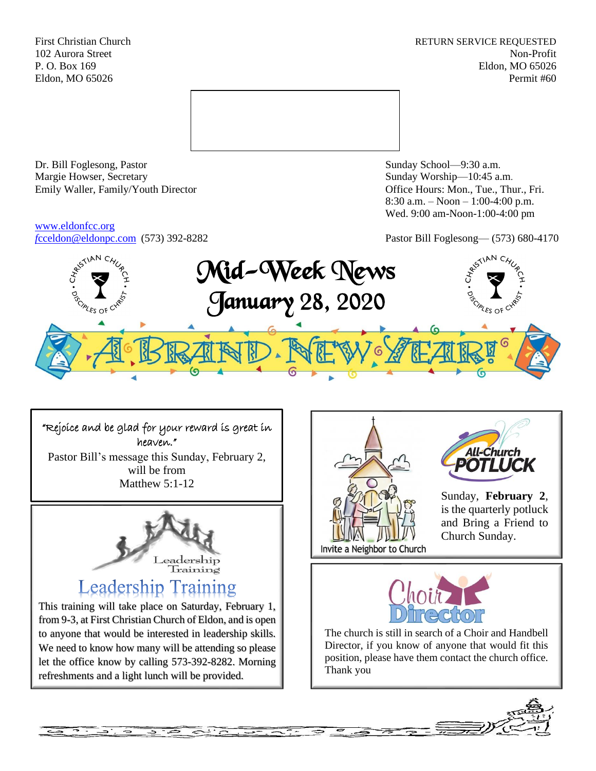First Christian Church **RETURN SERVICE REQUESTED** 102 Aurora Street Non-Profit P. O. Box 169 Eldon, MO 65026 Eldon, MO 65026 Permit #60



Dr. Bill Foglesong, Pastor Sunday School—9:30 a.m. Margie Howser, Secretary Sunday Worship—10:45 a.m. Emily Waller, Family/Youth Director **Containers** Office Hours: Mon., Tue., Thur., Fri.

## [www.eldonfcc.org](http://www.eldonfcc.org/) *f*[cceldon@eldonpc.com](mailto:fcceldon@eldonpc.com) (573) 392-8282 Pastor Bill Foglesong— (573) 680-4170

8:30 a.m. – Noon – 1:00-4:00 p.m. Wed. 9:00 am-Noon-1:00-4:00 pm